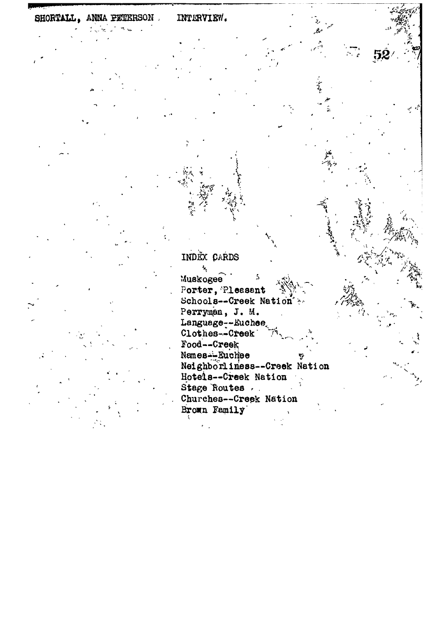## INTERVIEW. SHORTALL, ANNA PETERSON.

INDEX CARDS

ł, Muskogee Porter, Pleasant Schools--Creek Nation & Perryman, J. M. Language--Euchee Food--Creek Names-Buchee Neighborliness--Creek Nation Hotels--Creek Nation Stage Routes Churches--Creek Nation Brown Family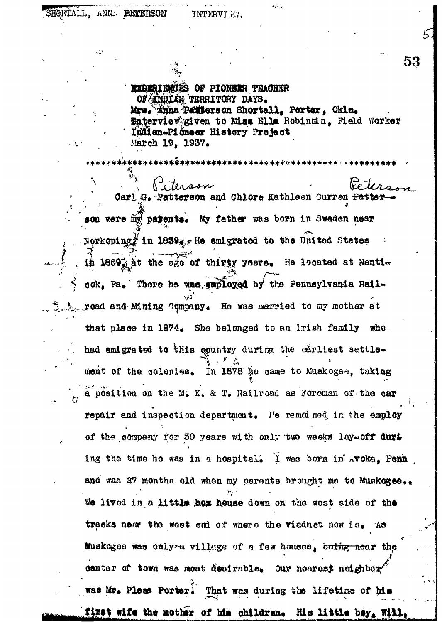JNTERVIEY.

**EXPERIBICSS OF PIONEER TRACHER** OF INDIAN TERRITORY DAYS. Mrs. Anna Patterson Shortall, Porter, Okla. **Enterview given to Miss Ella Robinmin, Field Worker** Indian-Picneer History Project March 19. 1937.

53

ິ∘ Ten Carl G. Patterson and Chlore Kathleen Curren Pat son were my parents. My father was born in Sweden near  $\mathbb{E}[\text{N} \times \text{N} \times \text{N} \times \text{N} \times \text{N} \times \text{N} \times \text{N} \times \text{N} \times \text{N} \times \text{N} \times \text{N} \times \text{N} \times \text{N} \times \text{N} \times \text{N} \times \text{N} \times \text{N} \times \text{N} \times \text{N} \times \text{N} \times \text{N} \times \text{N} \times \text{N} \times \text{N} \times \text{N} \times \text{N} \times \text{N} \times \text{N} \times \text{N} \times \text{N} \times \text{N$ in 1869; at the age of thirty years. He located at Nantiook, Pa. There he was unployed by the Pennsylvania Rail- $\lambda$  road and Mining Company. He was married to my mother at that place in 1874. She belonged to an irish family who had emigrated to this country during the carliest settlement of the colonies. In 1878 he came to Muskogee, taking a position on the M. K. & T. Railroad as Foroman of the car repair and inspection department. No remained in the employ of the company for 30 years with only two weeks lay off duri ing the time he was in a hospital. I was born in Avoka, Penn and was 27 months old when my parents brought me to Muskogee.. We lived in a little box house down on the west side of the tracks near the west end of where the viaduct now is. As Muskogee was only a village of a few houses, being near the center of town was most desirable. Our nearest neighbor was Mr. Pleas Porter. That was during the lifetime of his first wife the mother of his children. His little bey, Will,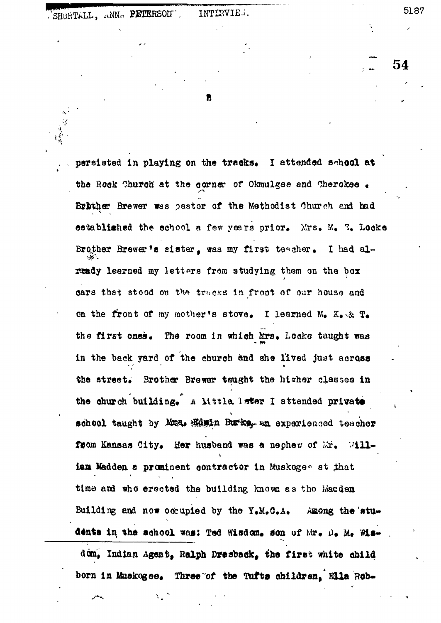54

2

persisted in playing on the tracks. I attended school at the Rock Church at the corner of Okmulgee and Cherokee Brither Brewer was pastor of the Methodist Church and had established the school a few years prior. Mrs. M. T. Locke Brother Brewer's sister, was my first teacher. I had already learned my letters from studying them on the box cars that stood on the tracks in front of our house and on the front of my mother's stove. I learned M.  $K_{\bullet} \times R_{\bullet}$ the first ones. The room in which Mrs. Locke taught was in the back yard of the church and she lived just across the street. Brother Brewer taught the higher classes in the church building. A little leter I attended private school taught by Mus. Weith Butke, an experienced teacher from Kansas City. Her husband was a nephew of Mr. William Madden a prominent contractor in Muskogee at that time and who erected the building knows as the Macden Building and now occupied by the  $Y_{\bullet}M_{\bullet}G_{\bullet}A_{\bullet}$ Among the students in the school was: Ted Wisdom, son of Mr. D. M. Wisdom, Indian Agent, Ralph Dresback, the first white child

born in Muskogee. Three of the Tufts children. Ella Rob-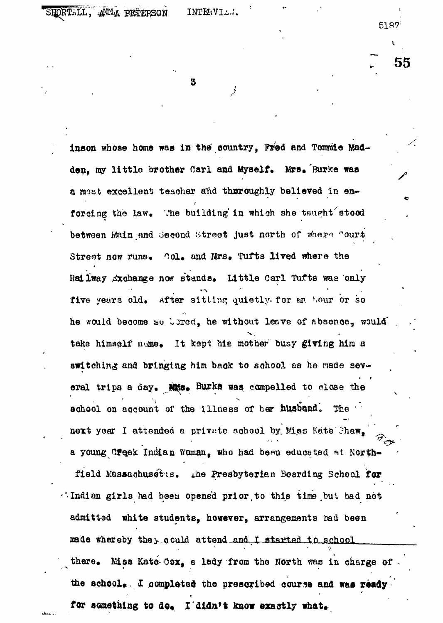55

3

inson whose home was in the country, Fred and Tommie Madden, my little brother Carl and Myself. Mrs. Burke was a most excellent teacher and thoroughly believed in enforcing the law. The building in which she taught stood between Main and Second Street just north of where Court Street now runs. Col. and Mrs. Tufts lived where the Railway Axchange now stands. Little Carl Tufts was only five years old. After sitting quietly for an hour or so he would become so bered, he without leave of absence, would take himself nume. It kept his mother busy giving him a switching and bringing him back to school as he made several trips a day. Mis. Burke was compelled to close the school on account of the illness of her husband. The T next year I attended a private school by Miss Kate Chaw, a young Creek Indian Woman, who had been educated at Northfield Massachusetts. The Presbyterian Boarding Scheol for Andian girls had been opened prior to this time but had not admitted white students, however, arrangements rad been made whereby the yould attend and I started to school  $there$ . Miss Kate Cox, a lady from the North was in charge of the school. I completed the prescribed course and was ready for something to do. I didn't know exactly what.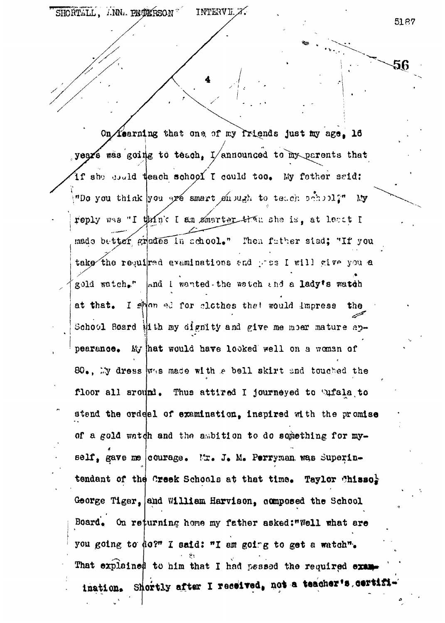56

On *fearning* that one of my friends just my age. 16 years was going to teach. I/announced to my parents that if she usuld teach school I could too. My fether said: "Do you think you are smart shough to teach sahool?" My reply was "I think I am smarter than she is, at least I made better grades in school." Then futher stad: "If you take the required examinations and pros I will give you a gold watch." And I wanted the watch and a lady's watch at that. I splan ad for clothes that would impress the School Board iith my dignity and give me moer mature appearance. My hat would have looked well on a woman of 80. My dress was made with a bell skirt and touched the floor all around. Thus attired I journeyed to Sufala to stand the ordeal of examination, inspired with the promise of a gold watch and the ambition to do something for myself. gave me courage. Mr. J. M. Perryman was Superintendant of the Creek Schools at that time. Taylor Chissoly George Tiger, and William Harvison, composed the School Board. On returning home my father asked:"Well what are you going to do?" I said: "I am going to get a watch". That explained to him that I had passed the required examination. Shortly after I received, not a teacher's certifi-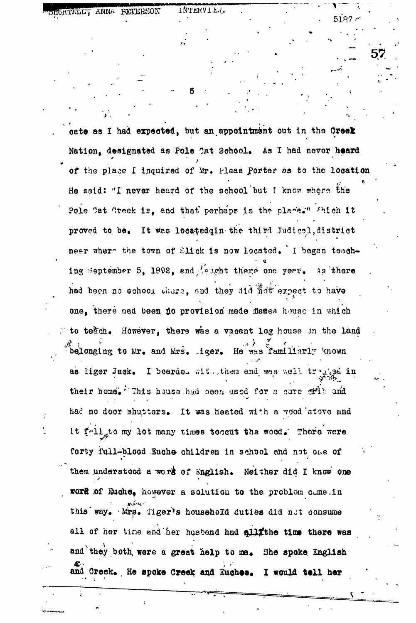cate as I had expected, but an appointment out in the Creek Nation, designated as Pole Cat School. As I had never heard of the place I inquired of Mr. Pleas Porter as to the location He said: "I never heard of the school but I know where the Pole Cat Creek is, and that perhaps is the place." Shich it proved to be. It was locatedqin the third Judical, district near where the town of Slick is now located. I began teaching September 5, 1892, and Laught there one year. As there had been no school there, and they did not expect to have one, there nad been no provision made flames house in which to tegch. However, there was a vacant log house on the land belonging to Mr. and Mrs. iger. He was familiarly known as liger Jack. I boarded with them and was well tranged in their home. This house had been used for a core offly and had no door shutters. It was heated with a vood stove and it fell to my lot many times tocaut the wood. There were forty full-blood Euche children in school and not one of them understood a work of English. Neither did I know one work of Euche, however a solution to the problem came.in this way. Mrs. Tiger's household duties did not consume all of her time and her husband had allithe time there was and they both were a great help to me. She spoke English and Creek. He spoke Creek and Euchee. I would tell her

TWTERAT FY"

**FORTALL: ANNA PETERSON** 

5187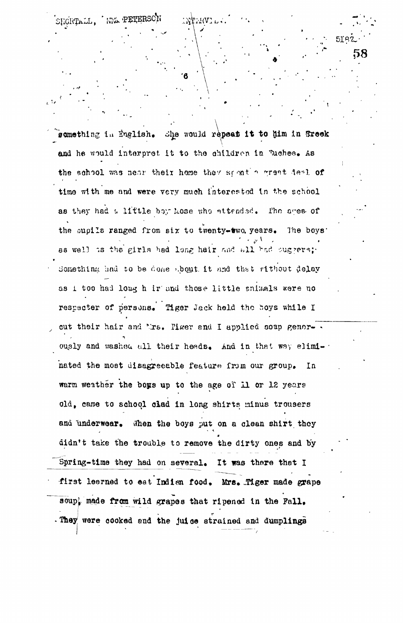something in English. She would repeat it to him in Breek and he would interpret it to the children in Tuchee. As the school was near their home they spent a great deal of time with me and were very much interested in the school as they had a little boy hose who attended. The ages of the oupils ranged from six to twenty-two. years. The boys' as well is the girls had long hair and all had ouggers; Something had to be done about it and that rithout delay as i too had long h ir and those little snimals were no respecter of persons. Tiger Jack held the boys while I out their hair and Mrs. Pizer and I applied soap genorously and washed all their heads. And in that way eliminated the most disagreeable feature from our group.  $In$ warm weather the boys up to the age of 11 or 12 years old, came to school clad in long shirts minus trousers and underwear. When the boys put on a clean shirt they didn't take the trouble to remove the dirty ones and by Spring-time they had on several. It was there that I first learned to eat Indian food. Mrs. Tiger made grape soup, made from wild grapes that ripened in the Fall. . They were cooked and the juice strained and dumplings

58

NNA PETERSO

SHORTALL,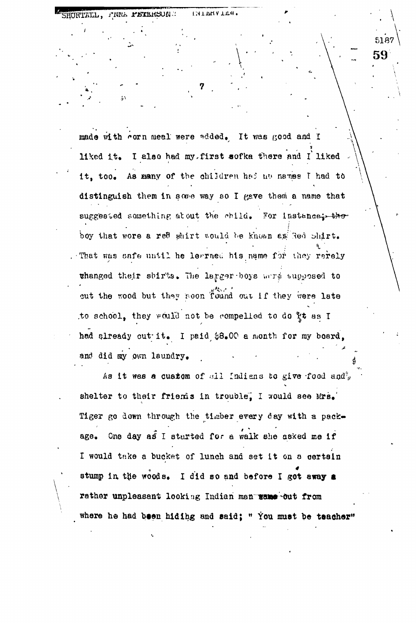made with corn meal were added. It was good and I  $\begin{matrix} 1 & 1 & 1 \\ 0 & 1 & 1 \end{matrix}$ liked it. I also had my first sofka there and I liked  $\rightarrow$  \ it, too. As many of the children hed no names I had to distinguish them in some way so I gave them a name that suggested something atout the child. For instance... the boy that wore a red shirt would be known as Red shirt. *x* . That was eafe until he learned his name for they rarely changed their sbir'ts. The larger-boys wrre supposed to cut the wood but they roon found out if they were late .to school, they would not be compelled to do  $x$ t as I had already out-it. I paid \$8.00 a month for my board, and did my own laundry.

ENTERATEd.

SHORTALL, FINNE PETERSON .:

As it was a custom of all Indians to give food and  $q$ shelter to their friems in trouble, I would see Mrs. Tiger go down through the timber every day «ith a package. One day as I sturted for a walk she asked me if I would take a bucket of lunch and set it on a certain stump in the woods. I did so and before I got away a rather unpleasant looking Indian man wane out from where he had been hiding and said; "You must be teacher" **59**

**T**

• . \

5187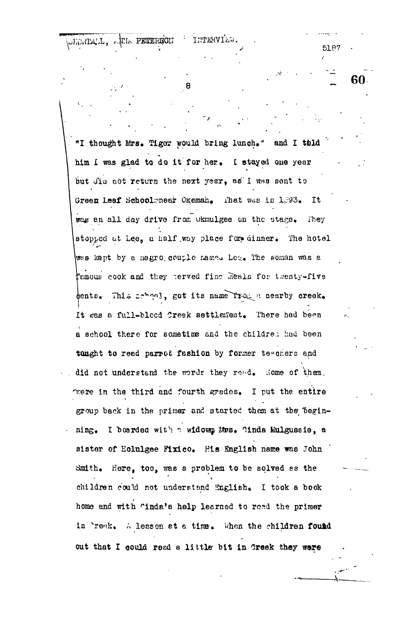"I thought Mrs. Tiger would bring lunch." and I tbld him I was glad to do it for her. I stayed one year but did not return the next year, as I was sent to Green Leaf Schoolmnear Okeman, That was in 1,393. It was an all day drive from Okmulgee on the stage. They stopped at Lee, a half way place for dinner. The hotel wes kept by a negro couple named Lee. The soman was a famous cook and they perved fine meals for twenty-five dents. This school, got its name from a nearby creek. It was a full-blood Creek settlement. There had been a school there for sometime and the children had been tanght to read parrot fashion by former tegeners and did not understand the words they read. Some of them. were in the third and fourth grades. I put the entire group back in the primer and started them at the beginning. I berded with a widown Mes. Cinda Mulgussie, a sister of Holulgee Mxico. His English name was John Smith. Here, too, was a problem to be solved as the children could not understand English. I took a book home and with "inda's help learned to read the primer in Preak. A less on at a time. When the children found out that I could read a little bit in Creek they were

**THTERVIEW.** 

я

 $518$ 

60.

OLORIALI, ATLA PETTERION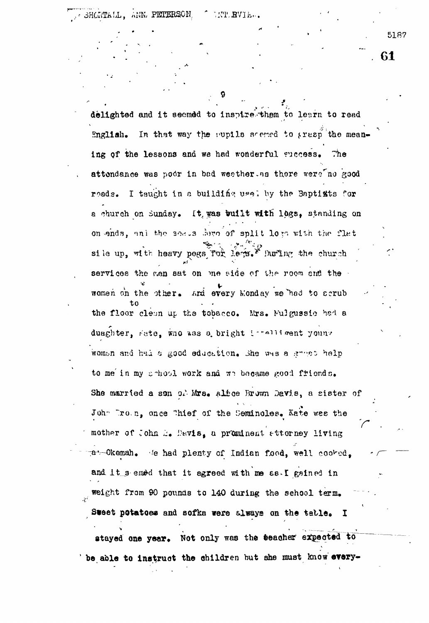61

delighted and it seemed to inspire them to learn to read English. In that way the supplie scened to prespithe meaning of the lessons and we had wonderful success. The attendance was podr in bad weather as there were no good reads. I taught in a building usel by the Baptists for a church on Sunday. It was built with logs, standing on on ends, and the seads dere of split logs with the flat sile up, with heavy pegs for levs." huring the church services the men sat on me side of the room and the women on the other. And every Monday we had to serub the floor cleun up the tobacco. Mrs. Mulgussie had a duaghter, rate, who was a bright intelligent young woman and had a good education. She was a grapt help to me in my school work and we became good friends. She married a son of Mrs. Alfoe Brown Davis, a sister of John Drown, once Thief of the Seminoles. Nate was the mother of John E. Davis, a prominent attorney living at Okemah. We had plenty of Indian food, well cooked. and it semed that it agreed with me as. I gained in weight from 90 pounds to 140 during the school term. Sweet potatoes and sofka were always on the table. I stayed one year. Not only was the teacher expected to

be able to instruct the children but she must know every-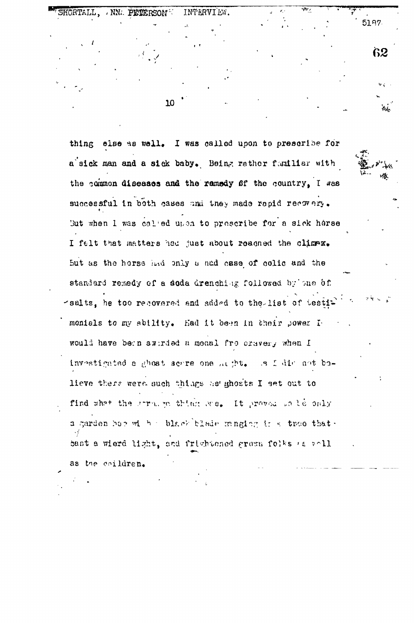NN. PETERSON INTERVIEW.

10

thing else as well. I was called upon to prescribe for a sick man and a sick baby. Being rather funiliar with the common diseases and the ramedy of the country, I was successful in both cases and they made repid recovery. But when I was called upon to prescribe for a sick horse I felt that matters hed just about reached the climax. But as the horse had only a ned case of colic and the standard remedy of a soda drenching followed by one of -salts, he too recovered end added to the list of testi monials to my ability. Had it been in their power Iwould have been awirded a meaal fro craver, when I investigated a ghost serre one maght. Is fair ant bolieve there were such things he ghosts I set out to find what the stronge thing was. It proved only a garden hop with a black blade manging is a troe that. bast a wierd light, and frichtened grown folks as well as the coildren.

62

s.<br>Kata

5187.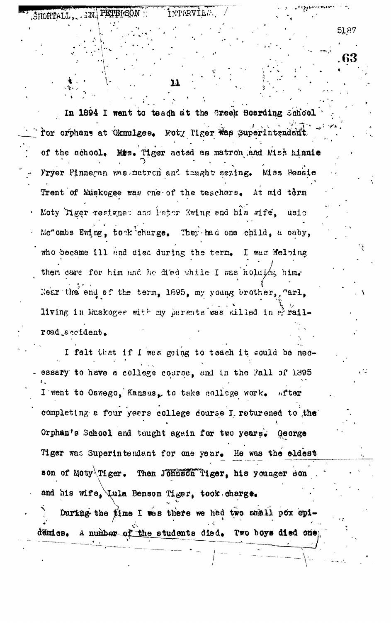IN PETERSON INTERVIES. STIGRTALL.

51.87

11

In 1894 I went to teach at the Creek Boarding School for crphans at Okmulgee. Moty Tiger was superintendent Miss. Tiger acted as matron and Miss Minnie of the school. Fryer Finnegan was matron and taught sexing. Miss Bessie Trent of Muskogee was one of the teachers. At mid term Moty Tiger resigne: and leter Ewing and his wife. usic Mc'ombs Ewing, took charge. They had one child, a oaby, who became ill and died during the term. I was Helping then care for him and he died while I was holdika him. Near the end of the term. 1895, my young brother. "arl. living in Muskogee with my parents was killed in & railroad accident.

I felt that if I was going to teach it would be necessary to have a college course, and in the Fall of 1395 I went to Oswego, Kansas, to take collage work. nfter completing a four years college dourse I returened to the Orphan's School and taught again for two years. George Tiger was Superintendant for one year. He was the eldest son of Moty<sup>\</sup>Tiger. Then Johnson Tiger, his younger son and his wife, Lula Benson Tiger, took charge.

During the time I was there we had two small pox epidémics. A number of the students died. Two boys died one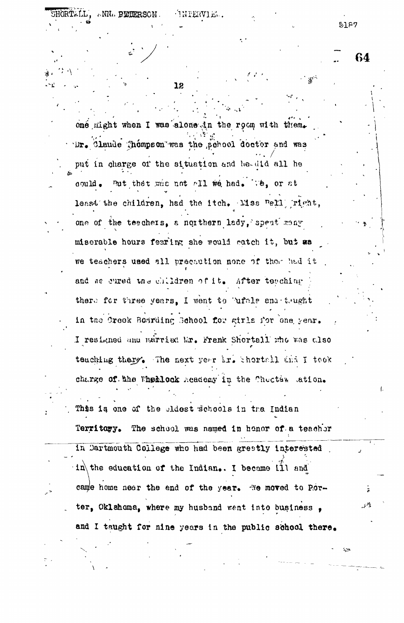one might when I was alone in the room with them. Dr. Claude Thompson was the school doctor and was put in charge of the situation and he-did all he could. But that was not all we had. We, or at least the children, had the itch. Miss Rell right, one of the teachers, a northern lady, spent many miserable hours fearing she would catch it, but as we teachers used all precaution none of thom had it and we cured the children of it. After teaching there for three years. I went to bufale and tought in the Creek Bosrding School for girls for one year. I resigned and married Mr. Frenk Shortall who was also teaching there. The next year ir. thertall that I took charge of the Fhellock Academy in the Chucter ation.

This is one of the cldest schools in the Indian Territary. The school was named in honor of a teachor

In Dartmouth College who had been greatly interested in the education of the Indian. I became ill and came home near the end of the year. He moved to Porter, Oklahoma, where my husband went into business, and I taught for nine years in the public school there.

12

**TNTERVIEL.** 

5187

64

SHORTALL, ANNA PINNERSON